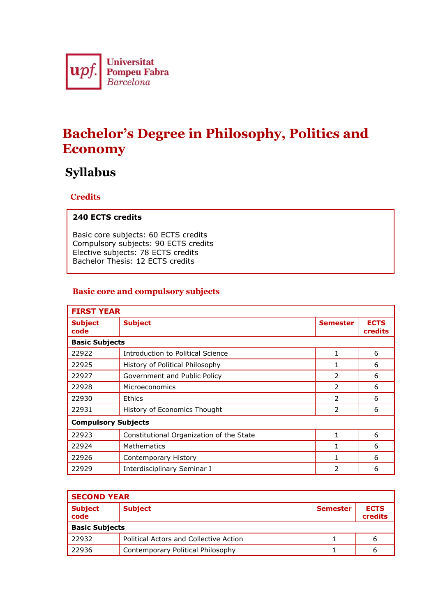

# **Bachelor's Degree in Philosophy, Politics and Economy**

## **Syllabus**

### **Credits**

#### **240 ECTS credits**

Basic core subjects: 60 ECTS credits Compulsory subjects: 90 ECTS credits Elective subjects: 78 ECTS credits Bachelor Thesis: 12 ECTS credits

#### **Basic core and compulsory subjects**

| <b>FIRST YEAR</b>          |                                          |                 |                               |  |  |
|----------------------------|------------------------------------------|-----------------|-------------------------------|--|--|
| <b>Subject</b><br>code     | <b>Subject</b>                           | <b>Semester</b> | <b>ECTS</b><br><b>credits</b> |  |  |
| <b>Basic Subjects</b>      |                                          |                 |                               |  |  |
| 22922                      | Introduction to Political Science        |                 | 6                             |  |  |
| 22925                      | History of Political Philosophy          | 1               | 6                             |  |  |
| 22927                      | Government and Public Policy             | 2               | 6                             |  |  |
| 22928                      | Microeconomics                           | $\mathcal{P}$   | 6                             |  |  |
| 22930                      | <b>Ethics</b>                            | $\mathcal{P}$   | 6                             |  |  |
| 22931                      | History of Economics Thought             | 2               | 6                             |  |  |
| <b>Compulsory Subjects</b> |                                          |                 |                               |  |  |
| 22923                      | Constitutional Organization of the State | 1               | 6                             |  |  |
| 22924                      | <b>Mathematics</b>                       |                 | 6                             |  |  |
| 22926                      | Contemporary History                     |                 | 6                             |  |  |
| 22929                      | Interdisciplinary Seminar I              | 2               | 6                             |  |  |

| <b>SECOND YEAR</b>     |                                        |                 |                        |  |  |
|------------------------|----------------------------------------|-----------------|------------------------|--|--|
| <b>Subject</b><br>code | <b>Subject</b>                         | <b>Semester</b> | <b>ECTS</b><br>credits |  |  |
| <b>Basic Subjects</b>  |                                        |                 |                        |  |  |
| 22932                  | Political Actors and Collective Action |                 | b                      |  |  |
| 22936                  | Contemporary Political Philosophy      |                 | ь                      |  |  |